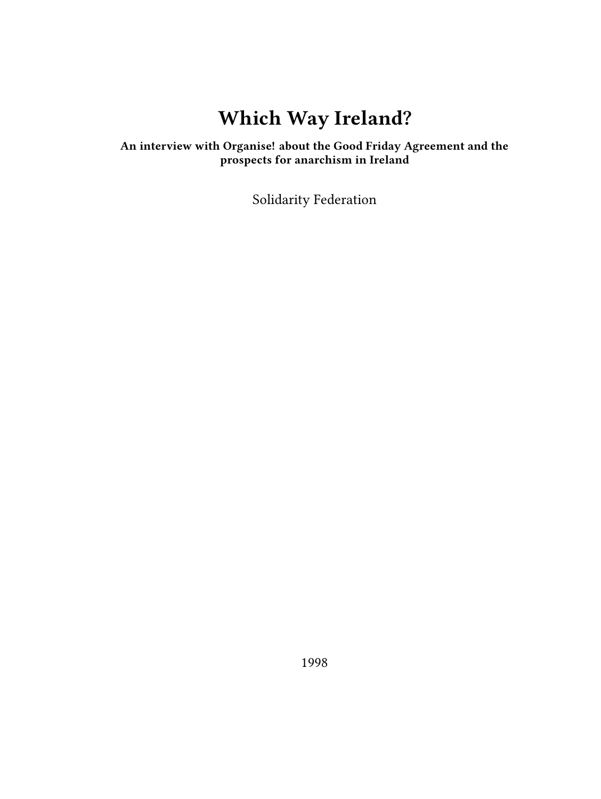# **Which Way Ireland?**

### **An interview with Organise! about the Good Friday Agreement and the prospects for anarchism in Ireland**

Solidarity Federation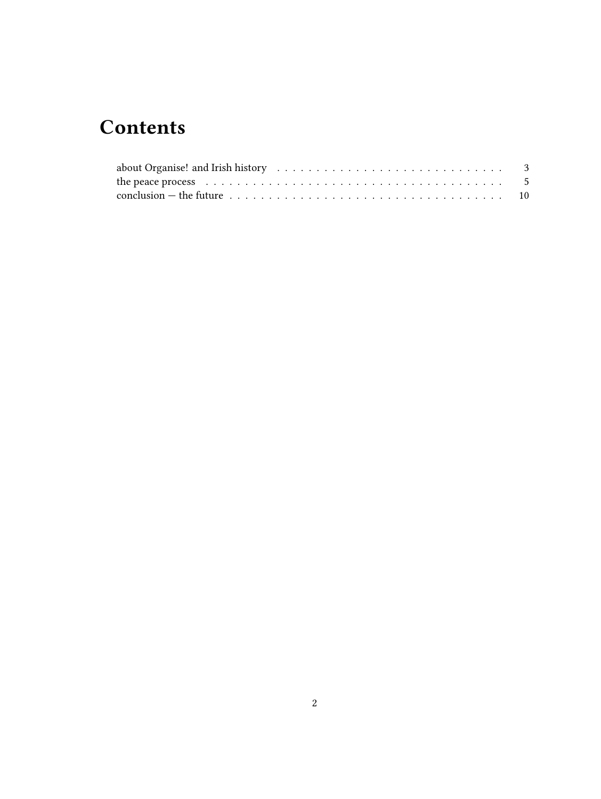# **Contents**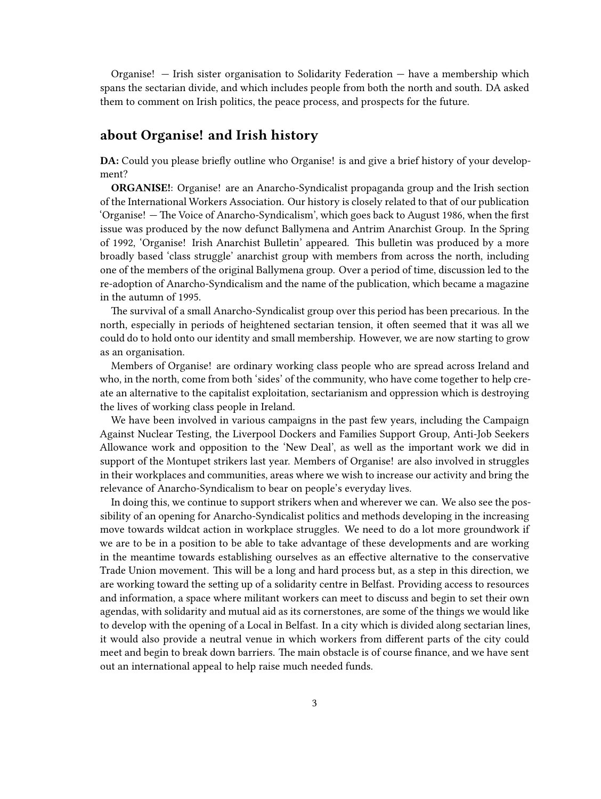Organise! — Irish sister organisation to Solidarity Federation — have a membership which spans the sectarian divide, and which includes people from both the north and south. DA asked them to comment on Irish politics, the peace process, and prospects for the future.

#### <span id="page-2-0"></span>**about Organise! and Irish history**

**DA:** Could you please briefly outline who Organise! is and give a brief history of your development?

**ORGANISE!**: Organise! are an Anarcho-Syndicalist propaganda group and the Irish section of the International Workers Association. Our history is closely related to that of our publication 'Organise! — The Voice of Anarcho-Syndicalism', which goes back to August 1986, when the first issue was produced by the now defunct Ballymena and Antrim Anarchist Group. In the Spring of 1992, 'Organise! Irish Anarchist Bulletin' appeared. This bulletin was produced by a more broadly based 'class struggle' anarchist group with members from across the north, including one of the members of the original Ballymena group. Over a period of time, discussion led to the re-adoption of Anarcho-Syndicalism and the name of the publication, which became a magazine in the autumn of 1995.

The survival of a small Anarcho-Syndicalist group over this period has been precarious. In the north, especially in periods of heightened sectarian tension, it often seemed that it was all we could do to hold onto our identity and small membership. However, we are now starting to grow as an organisation.

Members of Organise! are ordinary working class people who are spread across Ireland and who, in the north, come from both 'sides' of the community, who have come together to help create an alternative to the capitalist exploitation, sectarianism and oppression which is destroying the lives of working class people in Ireland.

We have been involved in various campaigns in the past few years, including the Campaign Against Nuclear Testing, the Liverpool Dockers and Families Support Group, Anti-Job Seekers Allowance work and opposition to the 'New Deal', as well as the important work we did in support of the Montupet strikers last year. Members of Organise! are also involved in struggles in their workplaces and communities, areas where we wish to increase our activity and bring the relevance of Anarcho-Syndicalism to bear on people's everyday lives.

In doing this, we continue to support strikers when and wherever we can. We also see the possibility of an opening for Anarcho-Syndicalist politics and methods developing in the increasing move towards wildcat action in workplace struggles. We need to do a lot more groundwork if we are to be in a position to be able to take advantage of these developments and are working in the meantime towards establishing ourselves as an effective alternative to the conservative Trade Union movement. This will be a long and hard process but, as a step in this direction, we are working toward the setting up of a solidarity centre in Belfast. Providing access to resources and information, a space where militant workers can meet to discuss and begin to set their own agendas, with solidarity and mutual aid as its cornerstones, are some of the things we would like to develop with the opening of a Local in Belfast. In a city which is divided along sectarian lines, it would also provide a neutral venue in which workers from different parts of the city could meet and begin to break down barriers. The main obstacle is of course finance, and we have sent out an international appeal to help raise much needed funds.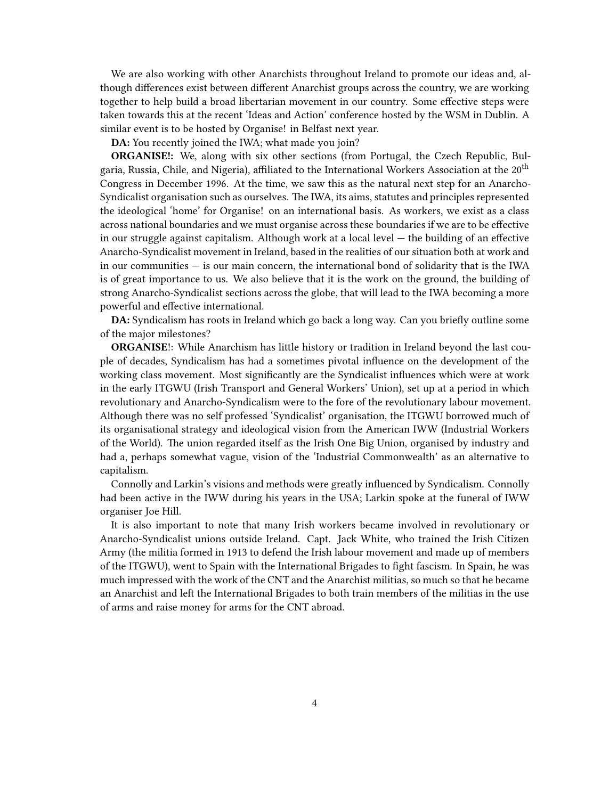We are also working with other Anarchists throughout Ireland to promote our ideas and, although differences exist between different Anarchist groups across the country, we are working together to help build a broad libertarian movement in our country. Some effective steps were taken towards this at the recent 'Ideas and Action' conference hosted by the WSM in Dublin. A similar event is to be hosted by Organise! in Belfast next year.

**DA:** You recently joined the IWA; what made you join?

**ORGANISE!:** We, along with six other sections (from Portugal, the Czech Republic, Bulgaria, Russia, Chile, and Nigeria), affiliated to the International Workers Association at the 20th Congress in December 1996. At the time, we saw this as the natural next step for an Anarcho-Syndicalist organisation such as ourselves. The IWA, its aims, statutes and principles represented the ideological 'home' for Organise! on an international basis. As workers, we exist as a class across national boundaries and we must organise across these boundaries if we are to be effective in our struggle against capitalism. Although work at a local level — the building of an effective Anarcho-Syndicalist movement in Ireland, based in the realities of our situation both at work and in our communities  $-$  is our main concern, the international bond of solidarity that is the IWA is of great importance to us. We also believe that it is the work on the ground, the building of strong Anarcho-Syndicalist sections across the globe, that will lead to the IWA becoming a more powerful and effective international.

**DA:** Syndicalism has roots in Ireland which go back a long way. Can you briefly outline some of the major milestones?

**ORGANISE!:** While Anarchism has little history or tradition in Ireland beyond the last couple of decades, Syndicalism has had a sometimes pivotal influence on the development of the working class movement. Most significantly are the Syndicalist influences which were at work in the early ITGWU (Irish Transport and General Workers' Union), set up at a period in which revolutionary and Anarcho-Syndicalism were to the fore of the revolutionary labour movement. Although there was no self professed 'Syndicalist' organisation, the ITGWU borrowed much of its organisational strategy and ideological vision from the American IWW (Industrial Workers of the World). The union regarded itself as the Irish One Big Union, organised by industry and had a, perhaps somewhat vague, vision of the 'Industrial Commonwealth' as an alternative to capitalism.

Connolly and Larkin's visions and methods were greatly influenced by Syndicalism. Connolly had been active in the IWW during his years in the USA; Larkin spoke at the funeral of IWW organiser Joe Hill.

It is also important to note that many Irish workers became involved in revolutionary or Anarcho-Syndicalist unions outside Ireland. Capt. Jack White, who trained the Irish Citizen Army (the militia formed in 1913 to defend the Irish labour movement and made up of members of the ITGWU), went to Spain with the International Brigades to fight fascism. In Spain, he was much impressed with the work of the CNT and the Anarchist militias, so much so that he became an Anarchist and left the International Brigades to both train members of the militias in the use of arms and raise money for arms for the CNT abroad.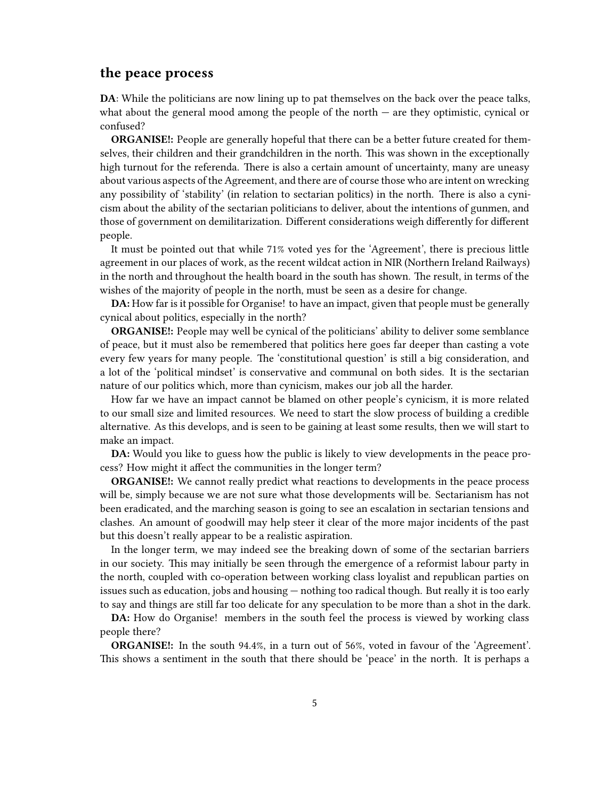#### <span id="page-4-0"></span>**the peace process**

**DA**: While the politicians are now lining up to pat themselves on the back over the peace talks, what about the general mood among the people of the north  $-$  are they optimistic, cynical or confused?

**ORGANISE!:** People are generally hopeful that there can be a better future created for themselves, their children and their grandchildren in the north. This was shown in the exceptionally high turnout for the referenda. There is also a certain amount of uncertainty, many are uneasy about various aspects of the Agreement, and there are of course those who are intent on wrecking any possibility of 'stability' (in relation to sectarian politics) in the north. There is also a cynicism about the ability of the sectarian politicians to deliver, about the intentions of gunmen, and those of government on demilitarization. Different considerations weigh differently for different people.

It must be pointed out that while 71% voted yes for the 'Agreement', there is precious little agreement in our places of work, as the recent wildcat action in NIR (Northern Ireland Railways) in the north and throughout the health board in the south has shown. The result, in terms of the wishes of the majority of people in the north, must be seen as a desire for change.

**DA:** How far is it possible for Organise! to have an impact, given that people must be generally cynical about politics, especially in the north?

**ORGANISE!:** People may well be cynical of the politicians' ability to deliver some semblance of peace, but it must also be remembered that politics here goes far deeper than casting a vote every few years for many people. The 'constitutional question' is still a big consideration, and a lot of the 'political mindset' is conservative and communal on both sides. It is the sectarian nature of our politics which, more than cynicism, makes our job all the harder.

How far we have an impact cannot be blamed on other people's cynicism, it is more related to our small size and limited resources. We need to start the slow process of building a credible alternative. As this develops, and is seen to be gaining at least some results, then we will start to make an impact.

**DA:** Would you like to guess how the public is likely to view developments in the peace process? How might it affect the communities in the longer term?

**ORGANISE!:** We cannot really predict what reactions to developments in the peace process will be, simply because we are not sure what those developments will be. Sectarianism has not been eradicated, and the marching season is going to see an escalation in sectarian tensions and clashes. An amount of goodwill may help steer it clear of the more major incidents of the past but this doesn't really appear to be a realistic aspiration.

In the longer term, we may indeed see the breaking down of some of the sectarian barriers in our society. This may initially be seen through the emergence of a reformist labour party in the north, coupled with co-operation between working class loyalist and republican parties on issues such as education, jobs and housing — nothing too radical though. But really it is too early to say and things are still far too delicate for any speculation to be more than a shot in the dark.

**DA:** How do Organise! members in the south feel the process is viewed by working class people there?

**ORGANISE!:** In the south 94.4%, in a turn out of 56%, voted in favour of the 'Agreement'. This shows a sentiment in the south that there should be 'peace' in the north. It is perhaps a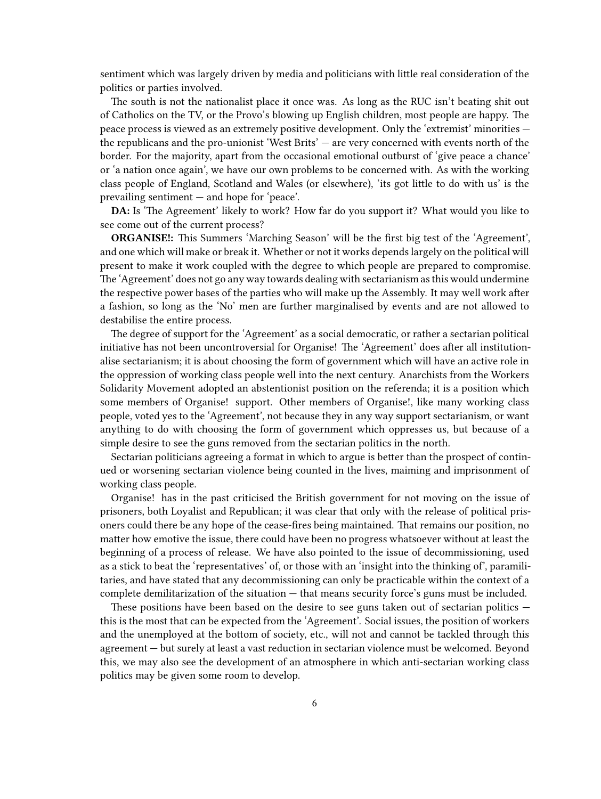sentiment which was largely driven by media and politicians with little real consideration of the politics or parties involved.

The south is not the nationalist place it once was. As long as the RUC isn't beating shit out of Catholics on the TV, or the Provo's blowing up English children, most people are happy. The peace process is viewed as an extremely positive development. Only the 'extremist' minorities the republicans and the pro-unionist 'West Brits' — are very concerned with events north of the border. For the majority, apart from the occasional emotional outburst of 'give peace a chance' or 'a nation once again', we have our own problems to be concerned with. As with the working class people of England, Scotland and Wales (or elsewhere), 'its got little to do with us' is the prevailing sentiment — and hope for 'peace'.

**DA:** Is 'The Agreement' likely to work? How far do you support it? What would you like to see come out of the current process?

**ORGANISE!:** This Summers 'Marching Season' will be the first big test of the 'Agreement', and one which will make or break it. Whether or not it works depends largely on the political will present to make it work coupled with the degree to which people are prepared to compromise. The 'Agreement' does not go any way towards dealing with sectarianism as this would undermine the respective power bases of the parties who will make up the Assembly. It may well work after a fashion, so long as the 'No' men are further marginalised by events and are not allowed to destabilise the entire process.

The degree of support for the 'Agreement' as a social democratic, or rather a sectarian political initiative has not been uncontroversial for Organise! The 'Agreement' does after all institutionalise sectarianism; it is about choosing the form of government which will have an active role in the oppression of working class people well into the next century. Anarchists from the Workers Solidarity Movement adopted an abstentionist position on the referenda; it is a position which some members of Organise! support. Other members of Organise!, like many working class people, voted yes to the 'Agreement', not because they in any way support sectarianism, or want anything to do with choosing the form of government which oppresses us, but because of a simple desire to see the guns removed from the sectarian politics in the north.

Sectarian politicians agreeing a format in which to argue is better than the prospect of continued or worsening sectarian violence being counted in the lives, maiming and imprisonment of working class people.

Organise! has in the past criticised the British government for not moving on the issue of prisoners, both Loyalist and Republican; it was clear that only with the release of political prisoners could there be any hope of the cease-fires being maintained. That remains our position, no matter how emotive the issue, there could have been no progress whatsoever without at least the beginning of a process of release. We have also pointed to the issue of decommissioning, used as a stick to beat the 'representatives' of, or those with an 'insight into the thinking of', paramilitaries, and have stated that any decommissioning can only be practicable within the context of a complete demilitarization of the situation — that means security force's guns must be included.

These positions have been based on the desire to see guns taken out of sectarian politics – this is the most that can be expected from the 'Agreement'. Social issues, the position of workers and the unemployed at the bottom of society, etc., will not and cannot be tackled through this agreement — but surely at least a vast reduction in sectarian violence must be welcomed. Beyond this, we may also see the development of an atmosphere in which anti-sectarian working class politics may be given some room to develop.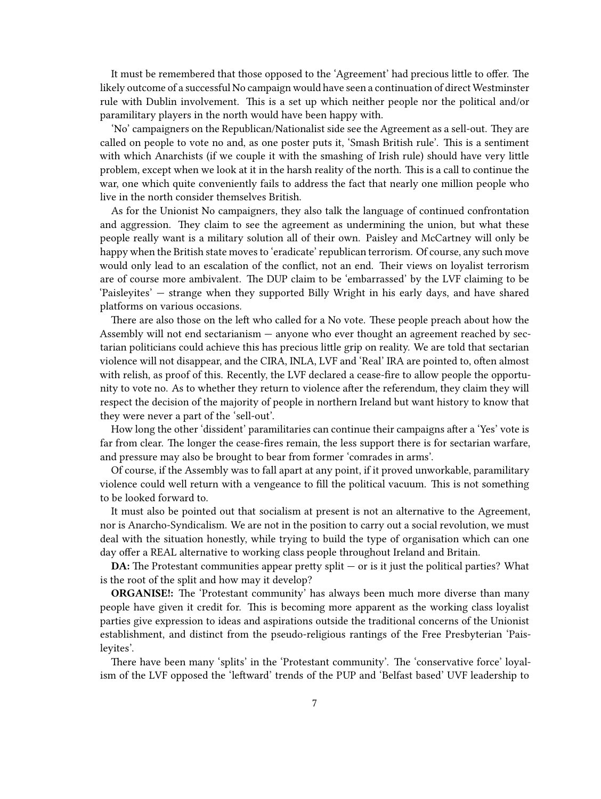It must be remembered that those opposed to the 'Agreement' had precious little to offer. The likely outcome of a successful No campaign would have seen a continuation of direct Westminster rule with Dublin involvement. This is a set up which neither people nor the political and/or paramilitary players in the north would have been happy with.

'No' campaigners on the Republican/Nationalist side see the Agreement as a sell-out. They are called on people to vote no and, as one poster puts it, 'Smash British rule'. This is a sentiment with which Anarchists (if we couple it with the smashing of Irish rule) should have very little problem, except when we look at it in the harsh reality of the north. This is a call to continue the war, one which quite conveniently fails to address the fact that nearly one million people who live in the north consider themselves British.

As for the Unionist No campaigners, they also talk the language of continued confrontation and aggression. They claim to see the agreement as undermining the union, but what these people really want is a military solution all of their own. Paisley and McCartney will only be happy when the British state moves to 'eradicate' republican terrorism. Of course, any such move would only lead to an escalation of the conflict, not an end. Their views on loyalist terrorism are of course more ambivalent. The DUP claim to be 'embarrassed' by the LVF claiming to be 'Paisleyites' — strange when they supported Billy Wright in his early days, and have shared platforms on various occasions.

There are also those on the left who called for a No vote. These people preach about how the Assembly will not end sectarianism — anyone who ever thought an agreement reached by sectarian politicians could achieve this has precious little grip on reality. We are told that sectarian violence will not disappear, and the CIRA, INLA, LVF and 'Real' IRA are pointed to, often almost with relish, as proof of this. Recently, the LVF declared a cease-fire to allow people the opportunity to vote no. As to whether they return to violence after the referendum, they claim they will respect the decision of the majority of people in northern Ireland but want history to know that they were never a part of the 'sell-out'.

How long the other 'dissident' paramilitaries can continue their campaigns after a 'Yes' vote is far from clear. The longer the cease-fires remain, the less support there is for sectarian warfare, and pressure may also be brought to bear from former 'comrades in arms'.

Of course, if the Assembly was to fall apart at any point, if it proved unworkable, paramilitary violence could well return with a vengeance to fill the political vacuum. This is not something to be looked forward to.

It must also be pointed out that socialism at present is not an alternative to the Agreement, nor is Anarcho-Syndicalism. We are not in the position to carry out a social revolution, we must deal with the situation honestly, while trying to build the type of organisation which can one day offer a REAL alternative to working class people throughout Ireland and Britain.

**DA:** The Protestant communities appear pretty split — or is it just the political parties? What is the root of the split and how may it develop?

**ORGANISE!:** The 'Protestant community' has always been much more diverse than many people have given it credit for. This is becoming more apparent as the working class loyalist parties give expression to ideas and aspirations outside the traditional concerns of the Unionist establishment, and distinct from the pseudo-religious rantings of the Free Presbyterian 'Paisleyites'.

There have been many 'splits' in the 'Protestant community'. The 'conservative force' loyalism of the LVF opposed the 'leftward' trends of the PUP and 'Belfast based' UVF leadership to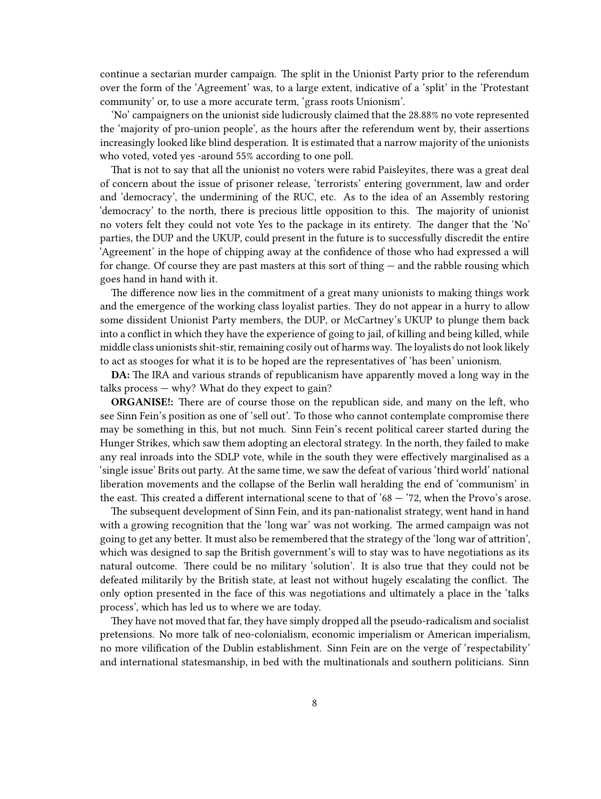continue a sectarian murder campaign. The split in the Unionist Party prior to the referendum over the form of the 'Agreement' was, to a large extent, indicative of a 'split' in the 'Protestant community' or, to use a more accurate term, 'grass roots Unionism'.

'No' campaigners on the unionist side ludicrously claimed that the 28.88% no vote represented the 'majority of pro-union people', as the hours after the referendum went by, their assertions increasingly looked like blind desperation. It is estimated that a narrow majority of the unionists who voted, voted yes -around 55% according to one poll.

That is not to say that all the unionist no voters were rabid Paisleyites, there was a great deal of concern about the issue of prisoner release, 'terrorists' entering government, law and order and 'democracy', the undermining of the RUC, etc. As to the idea of an Assembly restoring 'democracy' to the north, there is precious little opposition to this. The majority of unionist no voters felt they could not vote Yes to the package in its entirety. The danger that the 'No' parties, the DUP and the UKUP, could present in the future is to successfully discredit the entire 'Agreement' in the hope of chipping away at the confidence of those who had expressed a will for change. Of course they are past masters at this sort of thing — and the rabble rousing which goes hand in hand with it.

The difference now lies in the commitment of a great many unionists to making things work and the emergence of the working class loyalist parties. They do not appear in a hurry to allow some dissident Unionist Party members, the DUP, or McCartney's UKUP to plunge them back into a conflict in which they have the experience of going to jail, of killing and being killed, while middle class unionists shit-stir, remaining cosily out of harms way. The loyalists do not look likely to act as stooges for what it is to be hoped are the representatives of 'has been' unionism.

**DA:** The IRA and various strands of republicanism have apparently moved a long way in the talks process — why? What do they expect to gain?

**ORGANISE!:** There are of course those on the republican side, and many on the left, who see Sinn Fein's position as one of 'sell out'. To those who cannot contemplate compromise there may be something in this, but not much. Sinn Fein's recent political career started during the Hunger Strikes, which saw them adopting an electoral strategy. In the north, they failed to make any real inroads into the SDLP vote, while in the south they were effectively marginalised as a 'single issue' Brits out party. At the same time, we saw the defeat of various 'third world' national liberation movements and the collapse of the Berlin wall heralding the end of 'communism' in the east. This created a different international scene to that of  $68 - 72$ , when the Provo's arose.

The subsequent development of Sinn Fein, and its pan-nationalist strategy, went hand in hand with a growing recognition that the 'long war' was not working. The armed campaign was not going to get any better. It must also be remembered that the strategy of the 'long war of attrition', which was designed to sap the British government's will to stay was to have negotiations as its natural outcome. There could be no military 'solution'. It is also true that they could not be defeated militarily by the British state, at least not without hugely escalating the conflict. The only option presented in the face of this was negotiations and ultimately a place in the 'talks process', which has led us to where we are today.

They have not moved that far, they have simply dropped all the pseudo-radicalism and socialist pretensions. No more talk of neo-colonialism, economic imperialism or American imperialism, no more vilification of the Dublin establishment. Sinn Fein are on the verge of 'respectability' and international statesmanship, in bed with the multinationals and southern politicians. Sinn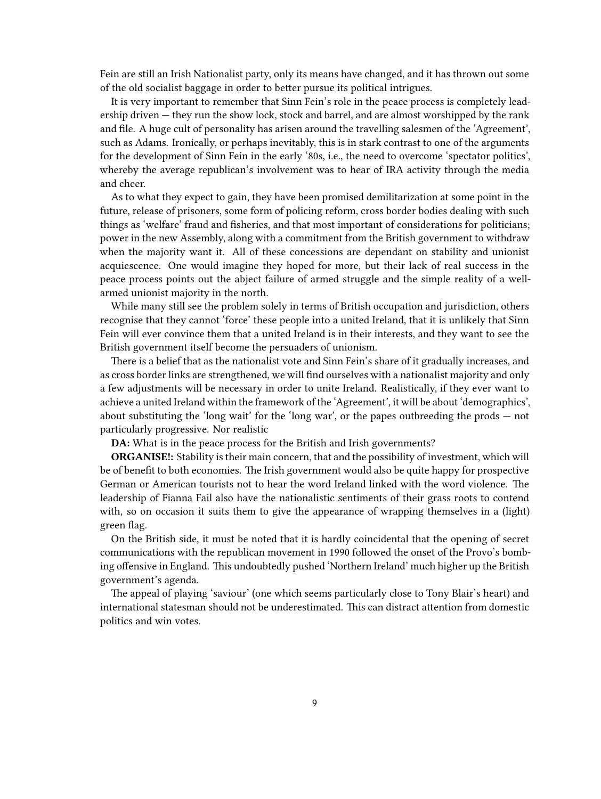Fein are still an Irish Nationalist party, only its means have changed, and it has thrown out some of the old socialist baggage in order to better pursue its political intrigues.

It is very important to remember that Sinn Fein's role in the peace process is completely leadership driven — they run the show lock, stock and barrel, and are almost worshipped by the rank and file. A huge cult of personality has arisen around the travelling salesmen of the 'Agreement', such as Adams. Ironically, or perhaps inevitably, this is in stark contrast to one of the arguments for the development of Sinn Fein in the early '80s, i.e., the need to overcome 'spectator politics', whereby the average republican's involvement was to hear of IRA activity through the media and cheer.

As to what they expect to gain, they have been promised demilitarization at some point in the future, release of prisoners, some form of policing reform, cross border bodies dealing with such things as 'welfare' fraud and fisheries, and that most important of considerations for politicians; power in the new Assembly, along with a commitment from the British government to withdraw when the majority want it. All of these concessions are dependant on stability and unionist acquiescence. One would imagine they hoped for more, but their lack of real success in the peace process points out the abject failure of armed struggle and the simple reality of a wellarmed unionist majority in the north.

While many still see the problem solely in terms of British occupation and jurisdiction, others recognise that they cannot 'force' these people into a united Ireland, that it is unlikely that Sinn Fein will ever convince them that a united Ireland is in their interests, and they want to see the British government itself become the persuaders of unionism.

There is a belief that as the nationalist vote and Sinn Fein's share of it gradually increases, and as cross border links are strengthened, we will find ourselves with a nationalist majority and only a few adjustments will be necessary in order to unite Ireland. Realistically, if they ever want to achieve a united Ireland within the framework of the 'Agreement', it will be about 'demographics', about substituting the 'long wait' for the 'long war', or the papes outbreeding the prods — not particularly progressive. Nor realistic

**DA:** What is in the peace process for the British and Irish governments?

**ORGANISE!:** Stability is their main concern, that and the possibility of investment, which will be of benefit to both economies. The Irish government would also be quite happy for prospective German or American tourists not to hear the word Ireland linked with the word violence. The leadership of Fianna Fail also have the nationalistic sentiments of their grass roots to contend with, so on occasion it suits them to give the appearance of wrapping themselves in a (light) green flag.

On the British side, it must be noted that it is hardly coincidental that the opening of secret communications with the republican movement in 1990 followed the onset of the Provo's bombing offensive in England. This undoubtedly pushed 'Northern Ireland' much higher up the British government's agenda.

The appeal of playing 'saviour' (one which seems particularly close to Tony Blair's heart) and international statesman should not be underestimated. This can distract attention from domestic politics and win votes.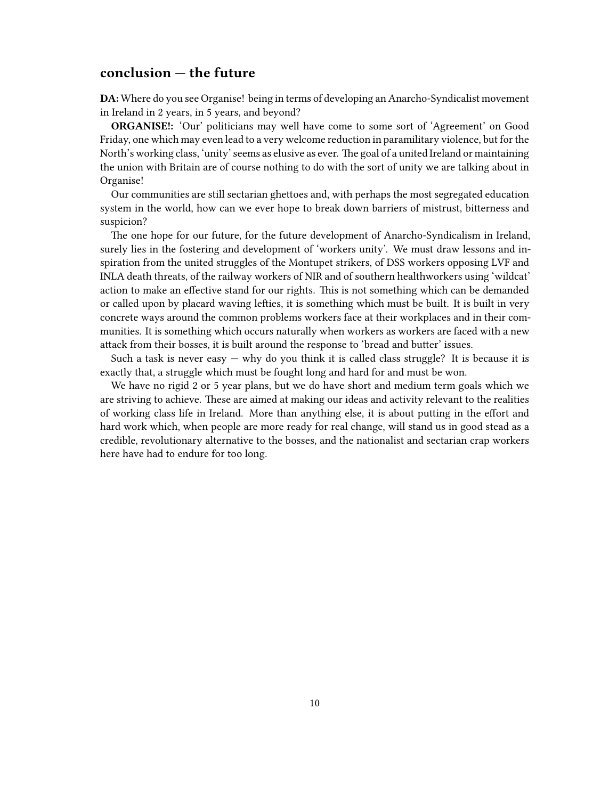### <span id="page-9-0"></span>**conclusion — the future**

**DA:** Where do you see Organise! being in terms of developing an Anarcho-Syndicalist movement in Ireland in 2 years, in 5 years, and beyond?

**ORGANISE!:** 'Our' politicians may well have come to some sort of 'Agreement' on Good Friday, one which may even lead to a very welcome reduction in paramilitary violence, but for the North's working class, 'unity' seems as elusive as ever. The goal of a united Ireland or maintaining the union with Britain are of course nothing to do with the sort of unity we are talking about in Organise!

Our communities are still sectarian ghettoes and, with perhaps the most segregated education system in the world, how can we ever hope to break down barriers of mistrust, bitterness and suspicion?

The one hope for our future, for the future development of Anarcho-Syndicalism in Ireland, surely lies in the fostering and development of 'workers unity'. We must draw lessons and inspiration from the united struggles of the Montupet strikers, of DSS workers opposing LVF and INLA death threats, of the railway workers of NIR and of southern healthworkers using 'wildcat' action to make an effective stand for our rights. This is not something which can be demanded or called upon by placard waving lefties, it is something which must be built. It is built in very concrete ways around the common problems workers face at their workplaces and in their communities. It is something which occurs naturally when workers as workers are faced with a new attack from their bosses, it is built around the response to 'bread and butter' issues.

Such a task is never easy  $-$  why do you think it is called class struggle? It is because it is exactly that, a struggle which must be fought long and hard for and must be won.

We have no rigid 2 or 5 year plans, but we do have short and medium term goals which we are striving to achieve. These are aimed at making our ideas and activity relevant to the realities of working class life in Ireland. More than anything else, it is about putting in the effort and hard work which, when people are more ready for real change, will stand us in good stead as a credible, revolutionary alternative to the bosses, and the nationalist and sectarian crap workers here have had to endure for too long.